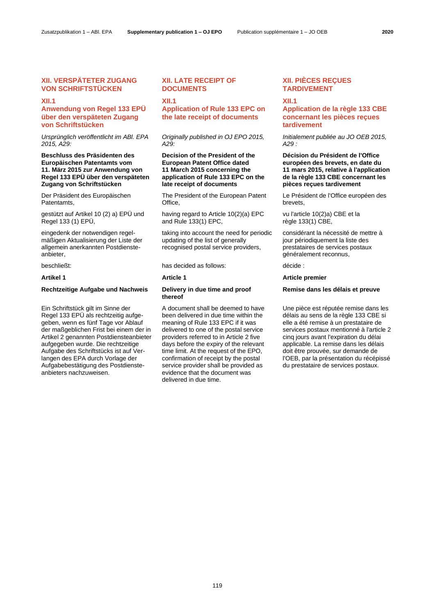# **XII. VERSPÄTETER ZUGANG VON SCHRIFTSTÜCKEN**

### **XII.1**

# **Anwendung von Regel 133 EPÜ über den verspäteten Zugang von Schriftstücken**

*Ursprünglich veröffentlicht im ABl. EPA 2015, A29:*

### **Beschluss des Präsidenten des Europäischen Patentamts vom 11. März 2015 zur Anwendung von Regel 133 EPÜ über den verspäteten Zugang von Schriftstücken**

Der Präsident des Europäischen Patentamts,

gestützt auf Artikel 10 (2) a) EPÜ und Regel 133 (1) EPÜ,

eingedenk der notwendigen regelmäßigen Aktualisierung der Liste der allgemein anerkannten Postdiensteanbieter,

### **Rechtzeitige Aufgabe und Nachweis Delivery in due time and proof**

Ein Schriftstück gilt im Sinne der Regel 133 EPÜ als rechtzeitig aufgegeben, wenn es fünf Tage vor Ablauf der maßgeblichen Frist bei einem der in Artikel 2 genannten Postdiensteanbieter aufgegeben wurde. Die rechtzeitige Aufgabe des Schriftstücks ist auf Verlangen des EPA durch Vorlage der Aufgabebestätigung des Postdiensteanbieters nachzuweisen.

# **XII. LATE RECEIPT OF DOCUMENTS**

**XII.1**

# **Application of Rule 133 EPC on the late receipt of documents**

*Originally published in OJ EPO 2015, A29:*

### **Decision of the President of the European Patent Office dated 11 March 2015 concerning the application of Rule 133 EPC on the late receipt of documents**

The President of the European Patent Office,

having regard to Article 10(2)(a) EPC and Rule 133(1) EPC,

taking into account the need for periodic updating of the list of generally recognised postal service providers,

beschließt: has decided as follows: décide :

# **thereof**

A document shall be deemed to have been delivered in due time within the meaning of Rule 133 EPC if it was delivered to one of the postal service providers referred to in Article 2 five days before the expiry of the relevant time limit. At the request of the EPO, confirmation of receipt by the postal service provider shall be provided as evidence that the document was delivered in due time.

# **XII. PIÈCES REÇUES TARDIVEMENT**

### **XII.1**

# **Application de la règle 133 CBE concernant les pièces reçues tardivement**

*Initialement publiée au JO OEB 2015, A29 :*

### **Décision du Président de l'Office européen des brevets, en date du 11 mars 2015, relative à l'application de la règle 133 CBE concernant les pièces reçues tardivement**

Le Président de l'Office européen des brevets,

vu l'article 10(2)a) CBE et la règle 133(1) CBE,

considérant la nécessité de mettre à jour périodiquement la liste des prestataires de services postaux généralement reconnus,

### **Artikel 1 Article 1 Article premier**

### **Remise dans les délais et preuve**

Une pièce est réputée remise dans les délais au sens de la règle 133 CBE si elle a été remise à un prestataire de services postaux mentionné à l'article 2 cinq jours avant l'expiration du délai applicable. La remise dans les délais doit être prouvée, sur demande de l'OEB, par la présentation du récépissé du prestataire de services postaux.